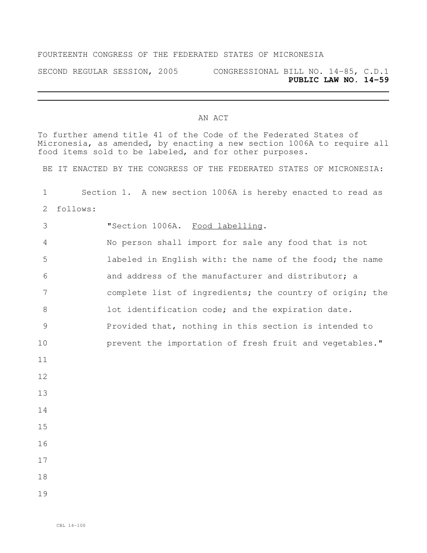## FOURTEENTH CONGRESS OF THE FEDERATED STATES OF MICRONESIA

SECOND REGULAR SESSION, 2005 CONGRESSIONAL BILL NO. 14-85, C.D.1 **PUBLIC LAW NO. 14-59**

## AN ACT

To further amend title 41 of the Code of the Federated States of Micronesia, as amended, by enacting a new section 1006A to require all food items sold to be labeled, and for other purposes.

BE IT ENACTED BY THE CONGRESS OF THE FEDERATED STATES OF MICRONESIA:

 Section 1. A new section 1006A is hereby enacted to read as follows: "Section 1006A. Food labelling. No person shall import for sale any food that is not labeled in English with: the name of the food; the name and address of the manufacturer and distributor; a complete list of ingredients; the country of origin; the 8 101 lot identification code; and the expiration date. Provided that, nothing in this section is intended to **prevent the importation of fresh fruit and vegetables.**"